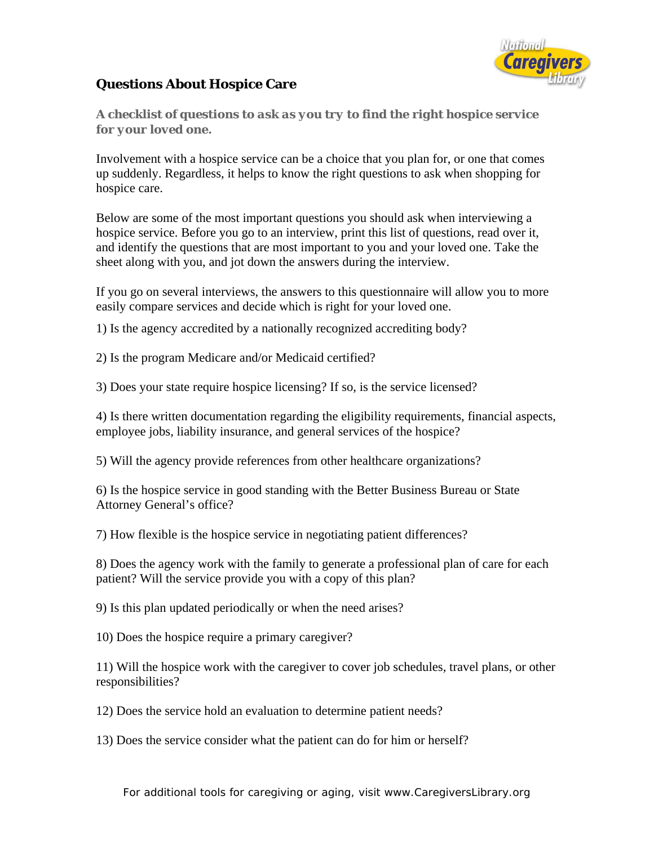

## **Questions About Hospice Care**

*A checklist of questions to ask as you try to find the right hospice service for your loved one.* 

Involvement with a hospice service can be a choice that you plan for, or one that comes up suddenly. Regardless, it helps to know the right questions to ask when shopping for hospice care.

Below are some of the most important questions you should ask when interviewing a hospice service. Before you go to an interview, print this list of questions, read over it, and identify the questions that are most important to you and your loved one. Take the sheet along with you, and jot down the answers during the interview.

If you go on several interviews, the answers to this questionnaire will allow you to more easily compare services and decide which is right for your loved one.

1) Is the agency accredited by a nationally recognized accrediting body?

2) Is the program Medicare and/or Medicaid certified?

3) Does your state require hospice licensing? If so, is the service licensed?

4) Is there written documentation regarding the eligibility requirements, financial aspects, employee jobs, liability insurance, and general services of the hospice?

5) Will the agency provide references from other healthcare organizations?

6) Is the hospice service in good standing with the Better Business Bureau or State Attorney General's office?

7) How flexible is the hospice service in negotiating patient differences?

8) Does the agency work with the family to generate a professional plan of care for each patient? Will the service provide you with a copy of this plan?

9) Is this plan updated periodically or when the need arises?

10) Does the hospice require a primary caregiver?

11) Will the hospice work with the caregiver to cover job schedules, travel plans, or other responsibilities?

12) Does the service hold an evaluation to determine patient needs?

13) Does the service consider what the patient can do for him or herself?